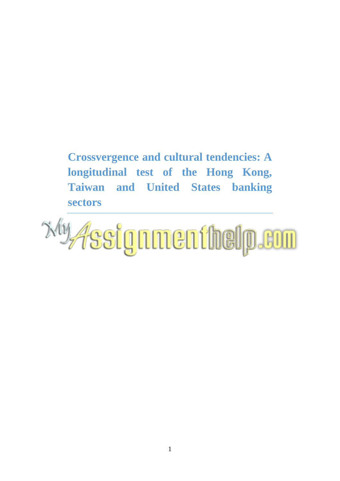**Crossvergence and cultural tendencies: A longitudinal test of the Hong Kong, Taiwan and United States banking sectors**

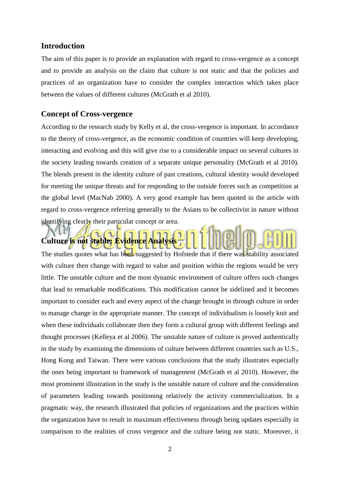### **Introduction**

The aim of this paper is to provide an explanation with regard to cross-vergence as a concept and to provide an analysis on the claim that culture is not static and that the policies and practices of an organization have to consider the complex interaction which takes place between the values of different cultures (McGrath et al 2010).

### **Concept of Cross-vergence**

According to the research study by Kelly et al, the cross-vergence is important. In accordance to the theory of cross-vergence, as the economic condition of countries will keep developing, interacting and evolving and this will give rise to a considerable impact on several cultures in the society leading towards creation of a separate unique personality (McGrath et al 2010). The blends present in the identity culture of past creations, cultural identity would developed for meeting the unique threats and for responding to the outside forces such as competition at the global level (MacNab 2000). A very good example has been quoted in the article with regard to cross-vergence referring generally to the Asians to be collectivist in nature without identifying clearly their particular concept or area.

# **Culture is not stable: Evidence Analysis**

The studies quotes what has been suggested by Hofstede that if there was stability associated with culture then change with regard to value and position within the regions would be very little. The unstable culture and the most dynamic environment of culture offers such changes that lead to remarkable modifications. This modification cannot be sidelined and it becomes important to consider each and every aspect of the change brought in through culture in order to manage change in the appropriate manner. The concept of individualism is loosely knit and when these individuals collaborate then they form a cultural group with different feelings and thought processes (Kelleya et al 2006). The unstable nature of culture is proved authentically in the study by examining the dimensions of culture between different countries such as U.S., Hong Kong and Taiwan. There were various conclusions that the study illustrates especially the ones being important to framework of management (McGrath et al 2010). However, the most prominent illustration in the study is the unstable nature of culture and the consideration of parameters leading towards positioning relatively the activity commercialization. In a pragmatic way, the research illustrated that policies of organizations and the practices within the organization have to result in maximum effectiveness through being updates especially in comparison to the realities of cross vergence and the culture being not static. Moreover, it